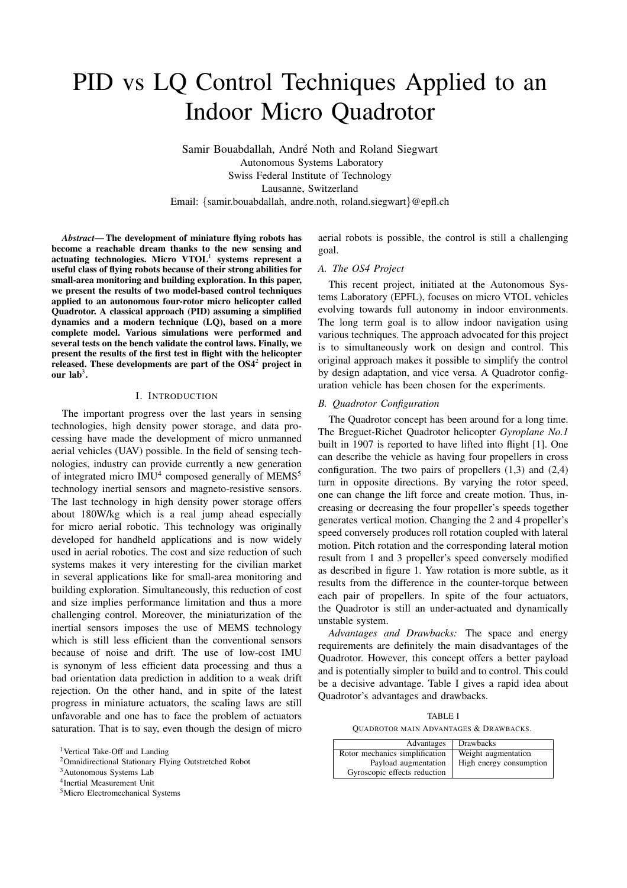# PID vs LQ Control Techniques Applied to an Indoor Micro Quadrotor

Samir Bouabdallah, André Noth and Roland Siegwart Autonomous Systems Laboratory Swiss Federal Institute of Technology Lausanne, Switzerland Email: {samir.bouabdallah, andre.noth, roland.siegwart}@epfl.ch

Abstract— The development of miniature flying robots has become a reachable dream thanks to the new sensing and actuating technologies. Micro  $VTOL<sup>1</sup>$  systems represent a useful class of flying robots because of their strong abilities for small-area monitoring and building exploration. In this paper, we present the results of two model-based control techniques applied to an autonomous four-rotor micro helicopter called Quadrotor. A classical approach (PID) assuming a simplified dynamics and a modern technique (LQ), based on a more complete model. Various simulations were performed and several tests on the bench validate the control laws. Finally, we present the results of the first test in flight with the helicopter released. These developments are part of the OS4<sup>2</sup> project in our  $lab<sup>3</sup>$ .

## I. INTRODUCTION

The important progress over the last years in sensing technologies, high density power storage, and data processing have made the development of micro unmanned aerial vehicles (UAV) possible. In the field of sensing technologies, industry can provide currently a new generation of integrated micro IMU<sup>4</sup> composed generally of MEMS<sup>5</sup> technology inertial sensors and magneto-resistive sensors. The last technology in high density power storage offers about 180W/kg which is a real jump ahead especially for micro aerial robotic. This technology was originally developed for handheld applications and is now widely used in aerial robotics. The cost and size reduction of such systems makes it very interesting for the civilian market in several applications like for small-area monitoring and building exploration. Simultaneously, this reduction of cost and size implies performance limitation and thus a more challenging control. Moreover, the miniaturization of the inertial sensors imposes the use of MEMS technology which is still less efficient than the conventional sensors because of noise and drift. The use of low-cost IMU is synonym of less efficient data processing and thus a bad orientation data prediction in addition to a weak drift rejection. On the other hand, and in spite of the latest progress in miniature actuators, the scaling laws are still unfavorable and one has to face the problem of actuators saturation. That is to say, even though the design of micro aerial robots is possible, the control is still a challenging goal.

#### A. The OS4 Project

This recent project, initiated at the Autonomous Systems Laboratory (EPFL), focuses on micro VTOL vehicles evolving towards full autonomy in indoor environments. The long term goal is to allow indoor navigation using various techniques. The approach advocated for this project is to simultaneously work on design and control. This original approach makes it possible to simplify the control by design adaptation, and vice versa. A Quadrotor configuration vehicle has been chosen for the experiments.

#### B. Quadrotor Configuration

The Quadrotor concept has been around for a long time. The Breguet-Richet Quadrotor helicopter Gyroplane No.1 built in 1907 is reported to have lifted into flight [1]. One can describe the vehicle as having four propellers in cross configuration. The two pairs of propellers  $(1,3)$  and  $(2,4)$ turn in opposite directions. By varying the rotor speed, one can change the lift force and create motion. Thus, increasing or decreasing the four propeller's speeds together generates vertical motion. Changing the 2 and 4 propeller's speed conversely produces roll rotation coupled with lateral motion. Pitch rotation and the corresponding lateral motion result from 1 and 3 propeller's speed conversely modified as described in figure 1. Yaw rotation is more subtle, as it results from the difference in the counter-torque between each pair of propellers. In spite of the four actuators, the Quadrotor is still an under-actuated and dynamically unstable system.

Advantages and Drawbacks: The space and energy requirements are definitely the main disadvantages of the Quadrotor. However, this concept offers a better payload and is potentially simpler to build and to control. This could be a decisive advantage. Table I gives a rapid idea about Quadrotor's advantages and drawbacks.

TABLE I QUADROTOR MAIN ADVANTAGES & DRAWBACKS.

| Advantages                     | <b>Drawbacks</b>        |
|--------------------------------|-------------------------|
| Rotor mechanics simplification | Weight augmentation     |
| Payload augmentation           | High energy consumption |
| Gyroscopic effects reduction   |                         |

<sup>&</sup>lt;sup>1</sup>Vertical Take-Off and Landing

<sup>2</sup>Omnidirectional Stationary Flying Outstretched Robot

<sup>3</sup>Autonomous Systems Lab

<sup>4</sup> Inertial Measurement Unit

<sup>5</sup>Micro Electromechanical Systems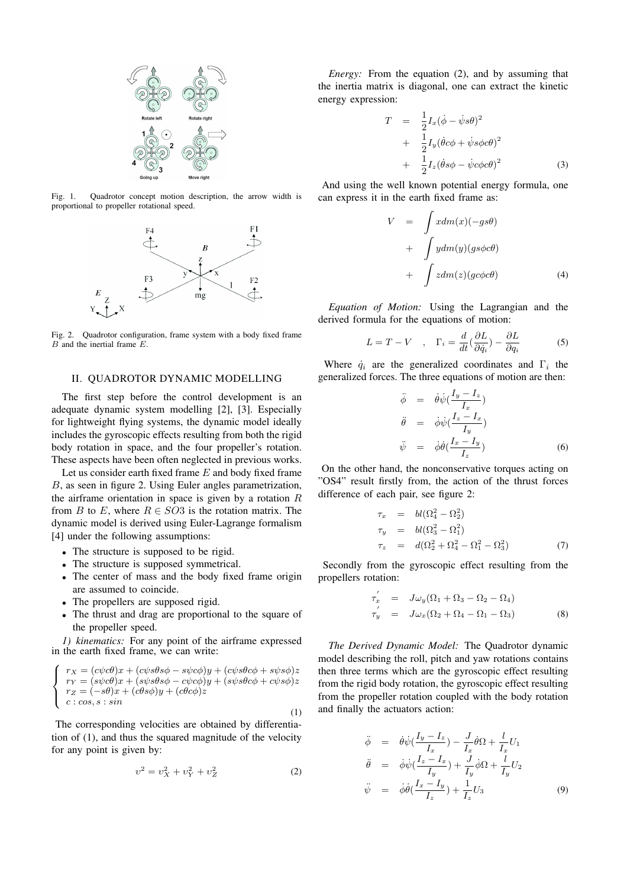

Fig. 1. Quadrotor concept motion description, the arrow width is proportional to propeller rotational speed.



Fig. 2. Quadrotor configuration, frame system with a body fixed frame B and the inertial frame E.

#### II. QUADROTOR DYNAMIC MODELLING

The first step before the control development is an adequate dynamic system modelling [2], [3]. Especially for lightweight flying systems, the dynamic model ideally includes the gyroscopic effects resulting from both the rigid body rotation in space, and the four propeller's rotation. These aspects have been often neglected in previous works.

Let us consider earth fixed frame E and body fixed frame B, as seen in figure 2. Using Euler angles parametrization, the airframe orientation in space is given by a rotation  $R$ from B to E, where  $R \in SO3$  is the rotation matrix. The dynamic model is derived using Euler-Lagrange formalism [4] under the following assumptions:

- The structure is supposed to be rigid.
- The structure is supposed symmetrical.
- The center of mass and the body fixed frame origin are assumed to coincide.
- The propellers are supposed rigid.
- The thrust and drag are proportional to the square of the propeller speed.

1) kinematics: For any point of the airframe expressed in the earth fixed frame, we can write:

$$
\begin{cases}\n r_X = (c\psi c\theta)x + (c\psi s\theta s\phi - s\psi c\phi)y + (c\psi s\theta c\phi + s\psi s\phi)z \\
 r_Y = (s\psi c\theta)x + (s\psi s\theta s\phi - c\psi c\phi)y + (s\psi s\theta c\phi + c\psi s\phi)z \\
 r_Z = (-s\theta)x + (c\theta s\phi)y + (c\theta c\phi)z \\
 c: cos, s: sin\n\end{cases}
$$
\n(1)

The corresponding velocities are obtained by differentiation of (1), and thus the squared magnitude of the velocity for any point is given by:

$$
v^2 = v_X^2 + v_Y^2 + v_Z^2 \tag{2}
$$

Energy: From the equation (2), and by assuming that the inertia matrix is diagonal, one can extract the kinetic energy expression:

$$
T = \frac{1}{2}I_x(\dot{\phi} - \dot{\psi}s\theta)^2
$$
  
+ 
$$
\frac{1}{2}I_y(\dot{\theta}c\phi + \dot{\psi}s\phi c\theta)^2
$$
  
+ 
$$
\frac{1}{2}I_z(\dot{\theta}s\phi - \dot{\psi}c\phi c\theta)^2
$$
(3)

And using the well known potential energy formula, one can express it in the earth fixed frame as:

$$
V = \int x dm(x)(-gs\theta)
$$
  
+ 
$$
\int y dm(y)(gs\phi c\theta)
$$
  
+ 
$$
\int z dm(z)(gc\phi c\theta)
$$
 (4)

Equation of Motion: Using the Lagrangian and the derived formula for the equations of motion:

$$
L = T - V \quad , \quad \Gamma_i = \frac{d}{dt} \left( \frac{\partial L}{\partial \dot{q}_i} \right) - \frac{\partial L}{\partial q_i} \tag{5}
$$

Where  $\dot{q}_i$  are the generalized coordinates and  $\Gamma_i$  the generalized forces. The three equations of motion are then:

$$
\ddot{\phi} = \dot{\theta}\dot{\psi}\left(\frac{I_y - I_z}{I_x}\right)
$$
\n
$$
\ddot{\theta} = \dot{\phi}\dot{\psi}\left(\frac{I_z - I_x}{I_y}\right)
$$
\n
$$
\ddot{\psi} = \dot{\phi}\dot{\theta}\left(\frac{I_x - I_y}{I_z}\right)
$$
\n(6)

On the other hand, the nonconservative torques acting on "OS4" result firstly from, the action of the thrust forces difference of each pair, see figure 2:

$$
\tau_x = bl(\Omega_4^2 - \Omega_2^2) \n\tau_y = bl(\Omega_3^2 - \Omega_1^2) \n\tau_z = d(\Omega_2^2 + \Omega_4^2 - \Omega_1^2 - \Omega_3^2)
$$
\n(7)

Secondly from the gyroscopic effect resulting from the propellers rotation:

$$
\tau'_x = J\omega_y(\Omega_1 + \Omega_3 - \Omega_2 - \Omega_4)
$$
  
\n
$$
\tau'_y = J\omega_x(\Omega_2 + \Omega_4 - \Omega_1 - \Omega_3)
$$
\n(8)

The Derived Dynamic Model: The Quadrotor dynamic model describing the roll, pitch and yaw rotations contains then three terms which are the gyroscopic effect resulting from the rigid body rotation, the gyroscopic effect resulting from the propeller rotation coupled with the body rotation and finally the actuators action:

$$
\ddot{\phi} = \dot{\theta}\dot{\psi}\left(\frac{I_y - I_z}{I_x}\right) - \frac{J}{I_x}\dot{\theta}\Omega + \frac{l}{I_x}U_1
$$
\n
$$
\ddot{\theta} = \dot{\phi}\dot{\psi}\left(\frac{I_z - I_x}{I_y}\right) + \frac{J}{I_y}\dot{\phi}\Omega + \frac{l}{I_y}U_2
$$
\n
$$
\ddot{\psi} = \dot{\phi}\dot{\theta}\left(\frac{I_x - I_y}{I_z}\right) + \frac{1}{I_z}U_3
$$
\n(9)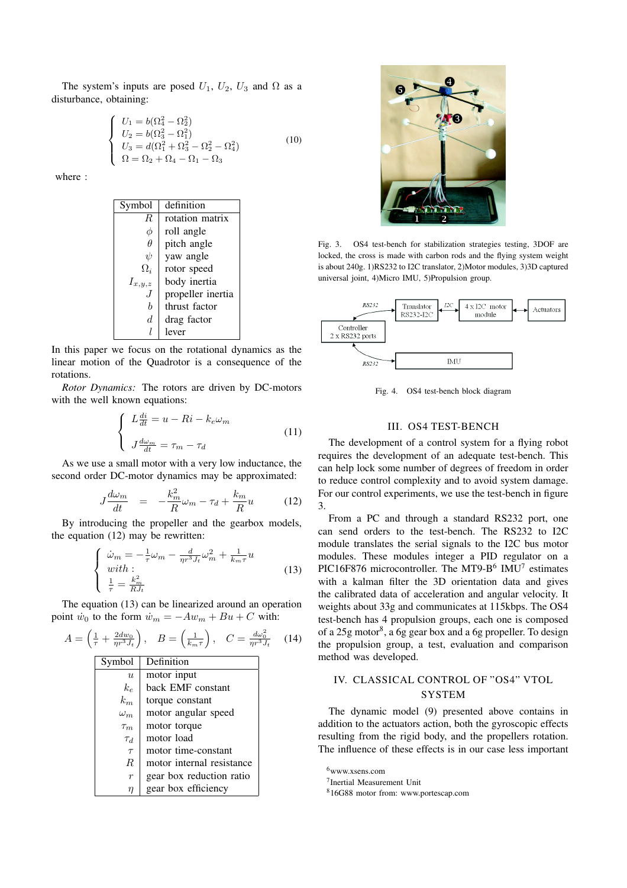The system's inputs are posed  $U_1$ ,  $U_2$ ,  $U_3$  and  $\Omega$  as a disturbance, obtaining:

$$
\begin{cases}\nU_1 = b(\Omega_4^2 - \Omega_2^2) \\
U_2 = b(\Omega_3^2 - \Omega_1^2) \\
U_3 = d(\Omega_1^2 + \Omega_3^2 - \Omega_2^2 - \Omega_4^2) \\
\Omega = \Omega_2 + \Omega_4 - \Omega_1 - \Omega_3\n\end{cases}
$$
\n(10)

where :

| Symbol      | definition        |
|-------------|-------------------|
| R           | rotation matrix   |
|             | roll angle        |
| $\theta$    | pitch angle       |
| $\psi$      | yaw angle         |
| $\Omega_i$  | rotor speed       |
| $I_{x,y,z}$ | body inertia      |
|             | propeller inertia |
| h           | thrust factor     |
| d           | drag factor       |
|             | lever             |

In this paper we focus on the rotational dynamics as the linear motion of the Quadrotor is a consequence of the rotations.

Rotor Dynamics: The rotors are driven by DC-motors with the well known equations:

$$
\begin{cases}\nL\frac{di}{dt} = u - Ri - k_e \omega_m \\
J\frac{d\omega_m}{dt} = \tau_m - \tau_d\n\end{cases}
$$
\n(11)

As we use a small motor with a very low inductance, the second order DC-motor dynamics may be approximated:

$$
J\frac{d\omega_m}{dt} = -\frac{k_m^2}{R}\omega_m - \tau_d + \frac{k_m}{R}u \tag{12}
$$

By introducing the propeller and the gearbox models, the equation (12) may be rewritten:

$$
\begin{cases}\n\dot{\omega}_m = -\frac{1}{\tau}\omega_m - \frac{d}{\eta r^3 J_t}\omega_m^2 + \frac{1}{k_m \tau}u \\
with: \\
\frac{1}{\tau} = \frac{k_m^2}{R J_t}\n\end{cases}
$$
\n(13)

The equation (13) can be linearized around an operation point  $\dot{w}_0$  to the form  $\dot{w}_m = -Aw_m + Bu + C$  with:

$$
A = \left(\frac{1}{\tau} + \frac{2dw_0}{\eta r^3 J_t}\right), \quad B = \left(\frac{1}{k_m \tau}\right), \quad C = \frac{d\omega_0^2}{\eta r^3 J_t} \quad (14)
$$
  
\n**Symbol Definition**  
\n*u* motor input

| $\boldsymbol{u}$ | motor input               |
|------------------|---------------------------|
| $k_e$            | back EMF constant         |
| $k_m$            | torque constant           |
| $\omega_m$       | motor angular speed       |
| $\tau_m$         | motor torque              |
| $\tau_d$         | motor load                |
| $\tau$           | motor time-constant       |
| R.               | motor internal resistance |
| $\boldsymbol{r}$ | gear box reduction ratio  |
| η                | gear box efficiency       |



Fig. 3. OS4 test-bench for stabilization strategies testing, 3DOF are locked, the cross is made with carbon rods and the flying system weight is about 240g. 1)RS232 to I2C translator, 2)Motor modules, 3)3D captured universal joint, 4)Micro IMU, 5)Propulsion group.



Fig. 4. OS4 test-bench block diagram

## III. OS4 TEST-BENCH

The development of a control system for a flying robot requires the development of an adequate test-bench. This can help lock some number of degrees of freedom in order to reduce control complexity and to avoid system damage. For our control experiments, we use the test-bench in figure 3.

From a PC and through a standard RS232 port, one can send orders to the test-bench. The RS232 to I2C module translates the serial signals to the I2C bus motor modules. These modules integer a PID regulator on a PIC16F876 microcontroller. The MT9-B $^6$  IMU<sup>7</sup> estimates with a kalman filter the 3D orientation data and gives the calibrated data of acceleration and angular velocity. It weights about 33g and communicates at 115kbps. The OS4 test-bench has 4 propulsion groups, each one is composed of a 25g motor<sup>8</sup>, a 6g gear box and a 6g propeller. To design the propulsion group, a test, evaluation and comparison method was developed.

## IV. CLASSICAL CONTROL OF "OS4" VTOL SYSTEM

The dynamic model (9) presented above contains in addition to the actuators action, both the gyroscopic effects resulting from the rigid body, and the propellers rotation. The influence of these effects is in our case less important

<sup>6</sup>www.xsens.com

<sup>7</sup> Inertial Measurement Unit

<sup>8</sup>16G88 motor from: www.portescap.com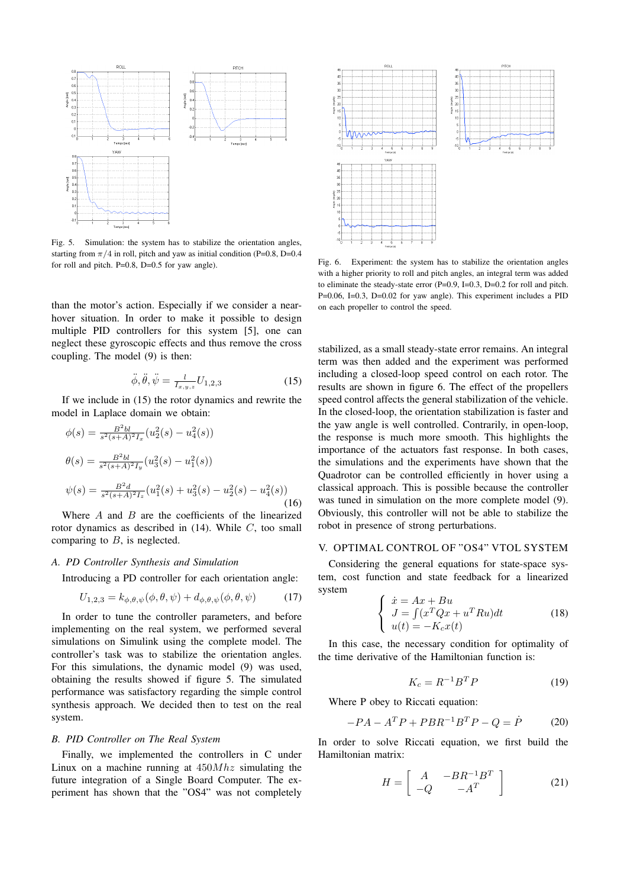

Fig. 5. Simulation: the system has to stabilize the orientation angles, starting from  $\pi/4$  in roll, pitch and yaw as initial condition (P=0.8, D=0.4) for roll and pitch. P=0.8, D=0.5 for yaw angle).

than the motor's action. Especially if we consider a nearhover situation. In order to make it possible to design multiple PID controllers for this system [5], one can neglect these gyroscopic effects and thus remove the cross coupling. The model (9) is then:

$$
\ddot{\phi}, \ddot{\theta}, \ddot{\psi} = \frac{l}{I_{x,y,z}} U_{1,2,3} \tag{15}
$$

If we include in (15) the rotor dynamics and rewrite the model in Laplace domain we obtain:

$$
\phi(s) = \frac{B^2 bl}{s^2 (s + A)^2 I_x} (u_2^2(s) - u_4^2(s))
$$
  
\n
$$
\theta(s) = \frac{B^2 bl}{s^2 (s + A)^2 I_y} (u_3^2(s) - u_1^2(s))
$$
  
\n
$$
\psi(s) = \frac{B^2 d}{s^2 (s + A)^2 I_z} (u_1^2(s) + u_3^2(s) - u_2^2(s) - u_4^2(s))
$$
\n(16)

Where  $A$  and  $B$  are the coefficients of the linearized rotor dynamics as described in (14). While C, too small comparing to  $B$ , is neglected.

#### A. PD Controller Synthesis and Simulation

Introducing a PD controller for each orientation angle:

$$
U_{1,2,3} = k_{\phi,\theta,\psi}(\phi,\theta,\psi) + d_{\phi,\theta,\psi}(\phi,\theta,\psi) \tag{17}
$$

In order to tune the controller parameters, and before implementing on the real system, we performed several simulations on Simulink using the complete model. The controller's task was to stabilize the orientation angles. For this simulations, the dynamic model (9) was used, obtaining the results showed if figure 5. The simulated performance was satisfactory regarding the simple control synthesis approach. We decided then to test on the real system.

### B. PID Controller on The Real System

Finally, we implemented the controllers in C under Linux on a machine running at  $450Mhz$  simulating the future integration of a Single Board Computer. The experiment has shown that the "OS4" was not completely



Fig. 6. Experiment: the system has to stabilize the orientation angles with a higher priority to roll and pitch angles, an integral term was added to eliminate the steady-state error  $(P=0.9, I=0.3, D=0.2$  for roll and pitch. P=0.06, I=0.3, D=0.02 for yaw angle). This experiment includes a PID on each propeller to control the speed.

stabilized, as a small steady-state error remains. An integral term was then added and the experiment was performed including a closed-loop speed control on each rotor. The results are shown in figure 6. The effect of the propellers speed control affects the general stabilization of the vehicle. In the closed-loop, the orientation stabilization is faster and the yaw angle is well controlled. Contrarily, in open-loop, the response is much more smooth. This highlights the importance of the actuators fast response. In both cases, the simulations and the experiments have shown that the Quadrotor can be controlled efficiently in hover using a classical approach. This is possible because the controller was tuned in simulation on the more complete model (9). Obviously, this controller will not be able to stabilize the robot in presence of strong perturbations.

## V. OPTIMAL CONTROL OF "OS4" VTOL SYSTEM

Considering the general equations for state-space system, cost function and state feedback for a linearized system

$$
\begin{cases}\n\dot{x} = Ax + Bu \\
J = \int (x^T Q x + u^T Ru) dt \\
u(t) = -K_c x(t)\n\end{cases}
$$
\n(18)

In this case, the necessary condition for optimality of the time derivative of the Hamiltonian function is:

$$
K_c = R^{-1}B^T P \tag{19}
$$

Where P obey to Riccati equation:

$$
-PA - ATP + PBR-1BTP - Q = \dot{P}
$$
 (20)

In order to solve Riccati equation, we first build the Hamiltonian matrix:

$$
H = \left[ \begin{array}{cc} A & -BR^{-1}B^T \\ -Q & -A^T \end{array} \right] \tag{21}
$$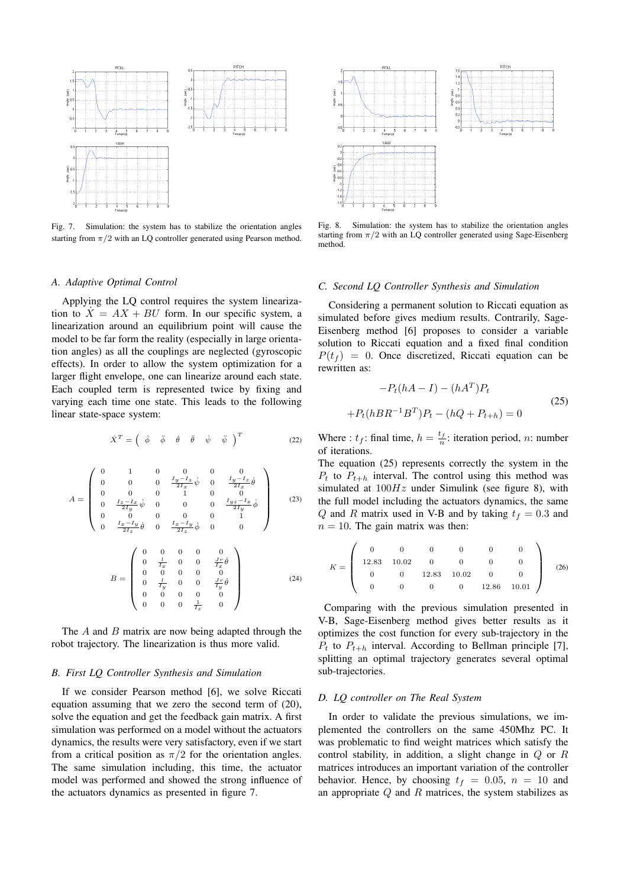

Fig. 7. Simulation: the system has to stabilize the orientation angles starting from  $\pi/2$  with an LQ controller generated using Pearson method.

#### A. Adaptive Optimal Control

Applying the LQ control requires the system linearization to  $X = AX + BU$  form. In our specific system, a linearization around an equilibrium point will cause the model to be far form the reality (especially in large orientation angles) as all the couplings are neglected (gyroscopic effects). In order to allow the system optimization for a larger flight envelope, one can linearize around each state. Each coupled term is represented twice by fixing and varying each time one state. This leads to the following linear state-space system:

$$
\dot{X}^T = \begin{pmatrix} \dot{\phi} & \ddot{\phi} & \dot{\theta} & \ddot{\theta} & \dot{\psi} & \ddot{\psi} \end{pmatrix}^T
$$
 (22)

$$
A = \begin{pmatrix} 0 & 1 & 0 & 0 & 0 & 0 \\ 0 & 0 & 0 & \frac{I_y - I_z}{2I_x} & \phi & \frac{I_y - I_z}{2I_x} & \dot{\theta} \\ 0 & 0 & 0 & 1 & 0 & 0 \\ 0 & \frac{I_z - I_x}{2I_y} & \phi & 0 & 0 & 0 & \frac{I_y z - I_x}{2I_y} & \dot{\phi} \\ 0 & 0 & 0 & 0 & 0 & 1 & 0 \\ 0 & \frac{I_x - I_y}{2I_z} & \phi & 0 & \frac{I_x - I_y}{2I_z} & \phi & 0 & 0 \end{pmatrix}
$$
(23)  

$$
B = \begin{pmatrix} 0 & 0 & 0 & 0 & 0 \\ 0 & \frac{I}{I_x} & 0 & 0 & \frac{I_x}{I_x} & \dot{\theta} \\ 0 & 0 & 0 & 0 & 0 & 0 \\ 0 & \frac{I}{I_y} & 0 & 0 & \frac{I_x}{I_y} & \dot{\theta} \\ 0 & 0 & 0 & 0 & 0 & 0 \\ 0 & 0 & 0 & 0 & \frac{I_x}{I_z} & 0 \end{pmatrix}
$$
(24)

The  $A$  and  $B$  matrix are now being adapted through the robot trajectory. The linearization is thus more valid.

#### B. First LQ Controller Synthesis and Simulation

If we consider Pearson method [6], we solve Riccati equation assuming that we zero the second term of (20), solve the equation and get the feedback gain matrix. A first simulation was performed on a model without the actuators dynamics, the results were very satisfactory, even if we start from a critical position as  $\pi/2$  for the orientation angles. The same simulation including, this time, the actuator model was performed and showed the strong influence of the actuators dynamics as presented in figure 7.



Fig. 8. Simulation: the system has to stabilize the orientation angles starting from  $\pi/2$  with an LQ controller generated using Sage-Eisenberg method.

## C. Second LQ Controller Synthesis and Simulation

Considering a permanent solution to Riccati equation as simulated before gives medium results. Contrarily, Sage-Eisenberg method [6] proposes to consider a variable solution to Riccati equation and a fixed final condition  $P(t_f) = 0$ . Once discretized, Riccati equation can be rewritten as:

$$
-P_t(hA - I) - (hA^T)P_t
$$
  
+ $P_t(hBR^{-1}B^T)P_t - (hQ + P_{t+h}) = 0$  (25)

Where :  $t_f$ : final time,  $h = \frac{t_f}{n}$ : iteration period, *n*: number of iterations.

The equation (25) represents correctly the system in the  $P_t$  to  $P_{t+h}$  interval. The control using this method was simulated at  $100Hz$  under Simulink (see figure 8), with the full model including the actuators dynamics, the same Q and R matrix used in V-B and by taking  $t_f = 0.3$  and  $n = 10$ . The gain matrix was then:

$$
K = \left(\begin{array}{cccccc} 0 & 0 & 0 & 0 & 0 & 0 \\ 12.83 & 10.02 & 0 & 0 & 0 & 0 \\ 0 & 0 & 12.83 & 10.02 & 0 & 0 \\ 0 & 0 & 0 & 0 & 12.86 & 10.01 \end{array}\right) (26)
$$

Comparing with the previous simulation presented in V-B, Sage-Eisenberg method gives better results as it optimizes the cost function for every sub-trajectory in the  $P_t$  to  $P_{t+h}$  interval. According to Bellman principle [7], splitting an optimal trajectory generates several optimal sub-trajectories.

### D. LQ controller on The Real System

In order to validate the previous simulations, we implemented the controllers on the same 450Mhz PC. It was problematic to find weight matrices which satisfy the control stability, in addition, a slight change in  $Q$  or  $R$ matrices introduces an important variation of the controller behavior. Hence, by choosing  $t_f = 0.05$ ,  $n = 10$  and an appropriate  $Q$  and  $R$  matrices, the system stabilizes as